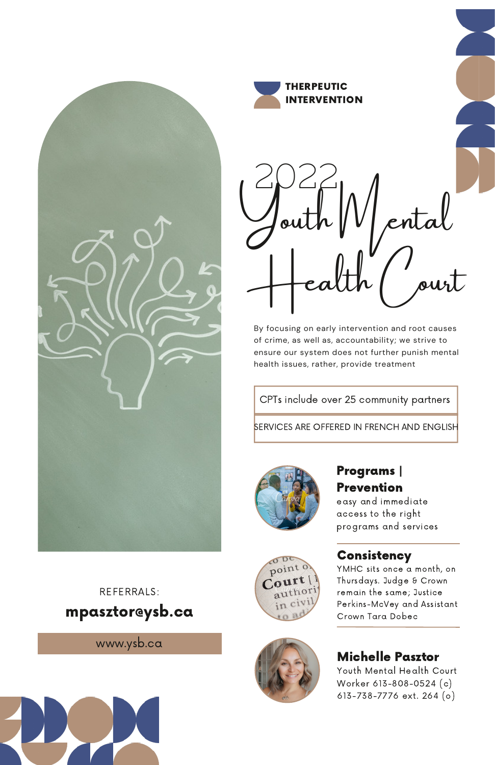



2022  $\int\limits_{\mathcal{O}}$ ental Health ( ourt

By focusing on early intervention and root causes of crime, as well as, accountability; we strive to ensure our system does not further punish mental health issues, rather, provide treatment

CPTs include over 25 community partners

**SERVICES ARE OFFERED IN FRENCH AND ENGLISH** 



 $0D$ point  $Co<sup>ur</sup>$ 

# Programs | Prevention

easy and immediate access to the right programs and services

#### **Consistency**

YMHC sits once a month, on Thursdays. Judge & Crown remain the same; Justice Perkins-McVey and Assistant Crown Tara Dobec

# Michelle Pasztor

Youth Mental Health Court Worker 613-808-0524 (c) 613-738-7776 ext. 264 (o)

# mpasztor@ysb.ca REFERRALS:

www.ysb.ca